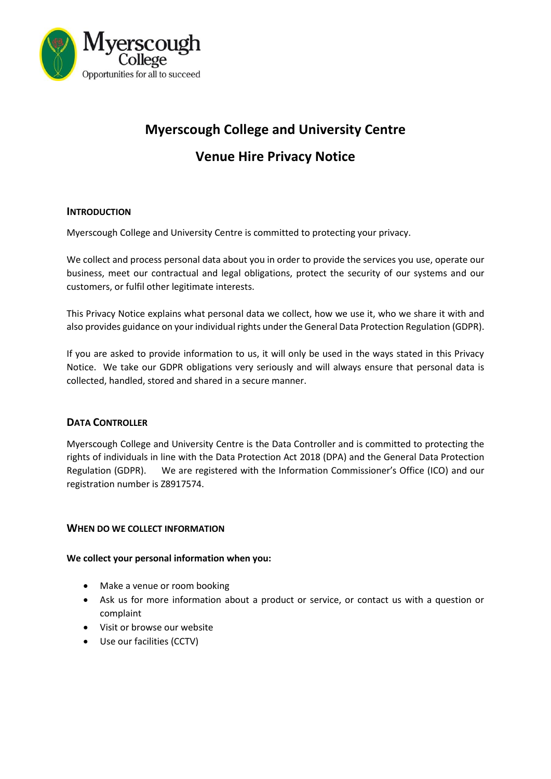

# **Myerscough College and University Centre**

# **Venue Hire Privacy Notice**

# **INTRODUCTION**

Myerscough College and University Centre is committed to protecting your privacy.

We collect and process personal data about you in order to provide the services you use, operate our business, meet our contractual and legal obligations, protect the security of our systems and our customers, or fulfil other legitimate interests.

This Privacy Notice explains what personal data we collect, how we use it, who we share it with and also provides guidance on your individual rights under the General Data Protection Regulation (GDPR).

If you are asked to provide information to us, it will only be used in the ways stated in this Privacy Notice. We take our GDPR obligations very seriously and will always ensure that personal data is collected, handled, stored and shared in a secure manner.

# **DATA CONTROLLER**

Myerscough College and University Centre is the Data Controller and is committed to protecting the rights of individuals in line with the Data Protection Act 2018 (DPA) and the General Data Protection Regulation (GDPR). We are registered with the Information Commissioner's Office (ICO) and our registration number is Z8917574.

# **WHEN DO WE COLLECT INFORMATION**

# **We collect your personal information when you:**

- Make a venue or room booking
- Ask us for more information about a product or service, or contact us with a question or complaint
- Visit or browse our website
- Use our facilities (CCTV)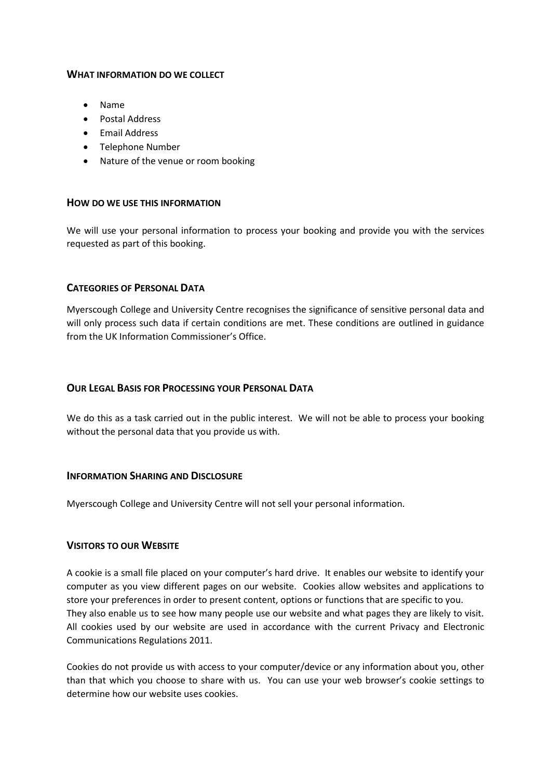#### **WHAT INFORMATION DO WE COLLECT**

- Name
- Postal Address
- **•** Email Address
- Telephone Number
- Nature of the venue or room booking

#### **HOW DO WE USE THIS INFORMATION**

We will use your personal information to process your booking and provide you with the services requested as part of this booking.

#### **CATEGORIES OF PERSONAL DATA**

Myerscough College and University Centre recognises the significance of sensitive personal data and will only process such data if certain conditions are met. These conditions are outlined in guidance from the UK Information Commissioner's Office.

#### **OUR LEGAL BASIS FOR PROCESSING YOUR PERSONAL DATA**

We do this as a task carried out in the public interest. We will not be able to process your booking without the personal data that you provide us with.

#### **INFORMATION SHARING AND DISCLOSURE**

Myerscough College and University Centre will not sell your personal information.

#### **VISITORS TO OUR WEBSITE**

A cookie is a small file placed on your computer's hard drive. It enables our website to identify your computer as you view different pages on our website. Cookies allow websites and applications to store your preferences in order to present content, options or functions that are specific to you. They also enable us to see how many people use our website and what pages they are likely to visit. All cookies used by our website are used in accordance with the current Privacy and Electronic Communications Regulations 2011.

Cookies do not provide us with access to your computer/device or any information about you, other than that which you choose to share with us. You can use your web browser's cookie settings to determine how our website uses cookies.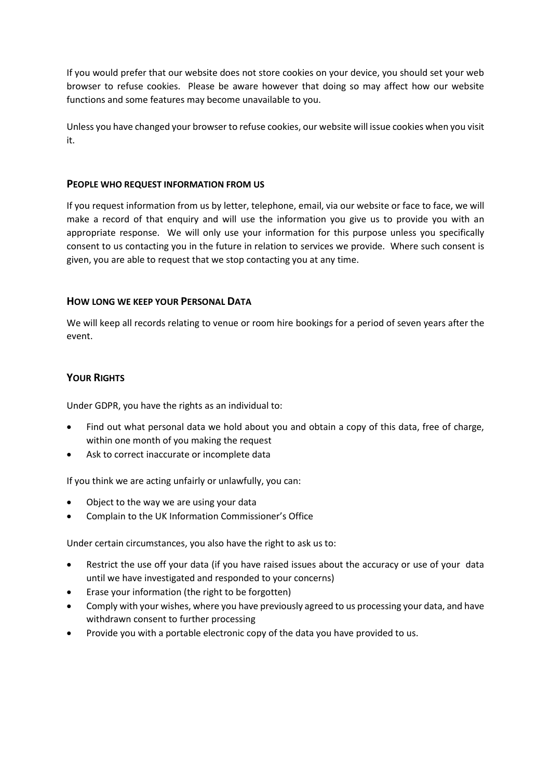If you would prefer that our website does not store cookies on your device, you should set your web browser to refuse cookies. Please be aware however that doing so may affect how our website functions and some features may become unavailable to you.

Unless you have changed your browser to refuse cookies, our website will issue cookies when you visit it.

#### **PEOPLE WHO REQUEST INFORMATION FROM US**

If you request information from us by letter, telephone, email, via our website or face to face, we will make a record of that enquiry and will use the information you give us to provide you with an appropriate response. We will only use your information for this purpose unless you specifically consent to us contacting you in the future in relation to services we provide. Where such consent is given, you are able to request that we stop contacting you at any time.

# **HOW LONG WE KEEP YOUR PERSONAL DATA**

We will keep all records relating to venue or room hire bookings for a period of seven years after the event.

# **YOUR RIGHTS**

Under GDPR, you have the rights as an individual to:

- Find out what personal data we hold about you and obtain a copy of this data, free of charge, within one month of you making the request
- Ask to correct inaccurate or incomplete data

If you think we are acting unfairly or unlawfully, you can:

- Object to the way we are using your data
- Complain to the [UK Information Commissioner's Office](https://ico.org.uk/)

Under certain circumstances, you also have the right to ask us to:

- Restrict the use off your data (if you have raised issues about the accuracy or use of your data until we have investigated and responded to your concerns)
- Erase your information (the right to be forgotten)
- Comply with your wishes, where you have previously agreed to us processing your data, and have withdrawn consent to further processing
- Provide you with a portable electronic copy of the data you have provided to us.